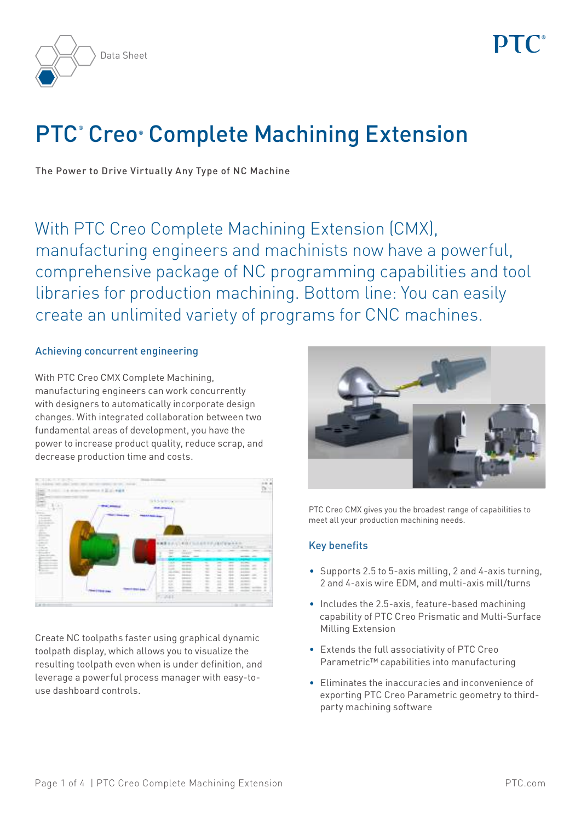



# PTC<sup>®</sup> Creo® Complete Machining Extension

The Power to Drive Virtually Any Type of NC Machine

With PTC Creo Complete Machining Extension (CMX), manufacturing engineers and machinists now have a powerful, comprehensive package of NC programming capabilities and tool libraries for production machining. Bottom line: You can easily create an unlimited variety of programs for CNC machines.

## Achieving concurrent engineering

With PTC Creo CMX Complete Machining, manufacturing engineers can work concurrently with designers to automatically incorporate design changes. With integrated collaboration between two fundamental areas of development, you have the power to increase product quality, reduce scrap, and decrease production time and costs.



Create NC toolpaths faster using graphical dynamic toolpath display, which allows you to visualize the resulting toolpath even when is under definition, and leverage a powerful process manager with easy-touse dashboard controls.



PTC Creo CMX gives you the broadest range of capabilities to meet all your production machining needs.

#### Key benefits

- Supports 2.5 to 5-axis milling, 2 and 4-axis turning, 2 and 4-axis wire EDM, and multi-axis mill/turns
- Includes the 2.5-axis, feature-based machining capability of PTC Creo Prismatic and Multi-Surface Milling Extension
- • Extends the full associativity of PTC Creo Parametric™ capabilities into manufacturing
- • Eliminates the inaccuracies and inconvenience of exporting PTC Creo Parametric geometry to thirdparty machining software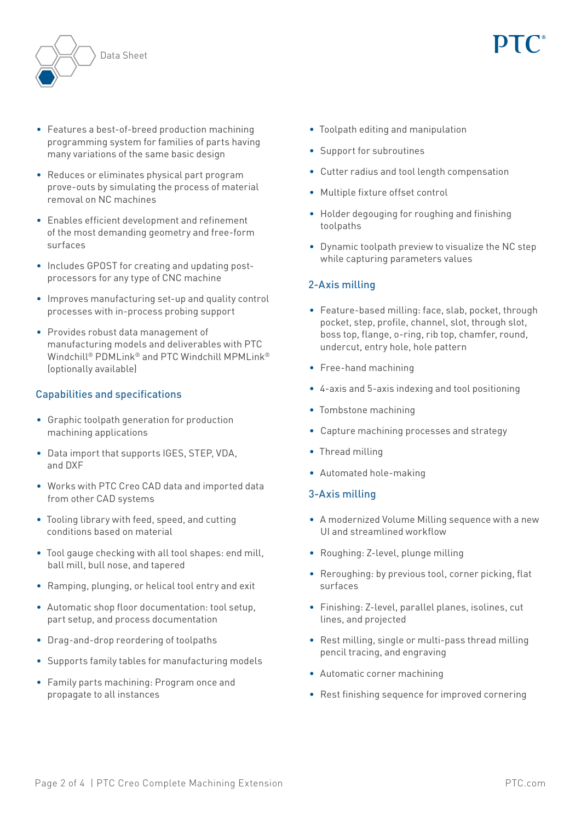

- Features a best-of-breed production machining programming system for families of parts having many variations of the same basic design
- Reduces or eliminates physical part program prove-outs by simulating the process of material removal on NC machines
- • Enables efficient development and refinement of the most demanding geometry and free-form surfaces
- Includes GPOST for creating and updating postprocessors for any type of CNC machine
- Improves manufacturing set-up and quality control processes with in-process probing support
- • Provides robust data management of manufacturing models and deliverables with PTC Windchill® PDMLink® and PTC Windchill MPMLink® (optionally available)

# Capabilities and specifications

- • Graphic toolpath generation for production machining applications
- Data import that supports IGES, STEP, VDA, and DXF
- Works with PTC Creo CAD data and imported data from other CAD systems
- Tooling library with feed, speed, and cutting conditions based on material
- Tool gauge checking with all tool shapes: end mill, ball mill, bull nose, and tapered
- Ramping, plunging, or helical tool entry and exit
- Automatic shop floor documentation: tool setup, part setup, and process documentation
- • Drag-and-drop reordering of toolpaths
- Supports family tables for manufacturing models
- • Family parts machining: Program once and propagate to all instances
- • Toolpath editing and manipulation
- Support for subroutines
- • Cutter radius and tool length compensation
- • Multiple fixture offset control
- Holder degouging for roughing and finishing toolpaths
- • Dynamic toolpath preview to visualize the NC step while capturing parameters values

# 2-Axis milling

- Feature-based milling: face, slab, pocket, through pocket, step, profile, channel, slot, through slot, boss top, flange, o-ring, rib top, chamfer, round, undercut, entry hole, hole pattern
- • Free-hand machining
- • 4-axis and 5-axis indexing and tool positioning
- • Tombstone machining
- • Capture machining processes and strategy
- Thread milling
- • Automated hole-making

# 3-Axis milling

- A modernized Volume Milling sequence with a new UI and streamlined workflow
- Roughing: Z-level, plunge milling
- Reroughing: by previous tool, corner picking, flat surfaces
- • Finishing: Z-level, parallel planes, isolines, cut lines, and projected
- Rest milling, single or multi-pass thread milling pencil tracing, and engraving
- • Automatic corner machining
- Rest finishing sequence for improved cornering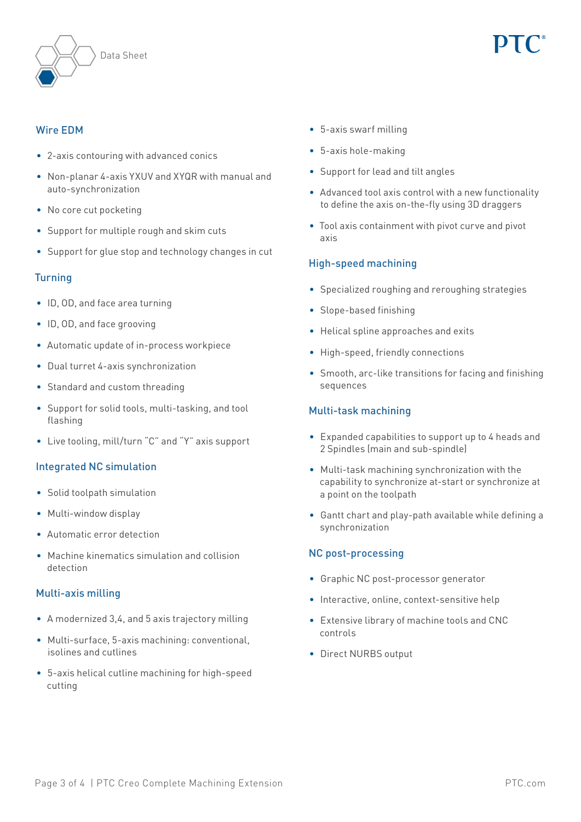



## Wire EDM

- • 2-axis contouring with advanced conics
- Non-planar 4-axis YXUV and XYQR with manual and auto-synchronization
- No core cut pocketing
- Support for multiple rough and skim cuts
- Support for glue stop and technology changes in cut

## **Turning**

- • ID, OD, and face area turning
- • ID, OD, and face grooving
- • Automatic update of in-process workpiece
- Dual turret 4-axis synchronization
- Standard and custom threading
- Support for solid tools, multi-tasking, and tool flashing
- Live tooling, mill/turn "C" and "Y" axis support

#### Integrated NC simulation

- • Solid toolpath simulation
- Multi-window display
- • Automatic error detection
- Machine kinematics simulation and collision detection

#### Multi-axis milling

- A modernized 3,4, and 5 axis trajectory milling
- • Multi-surface, 5-axis machining: conventional, isolines and cutlines
- • 5-axis helical cutline machining for high-speed cutting
- • 5-axis swarf milling
- • 5-axis hole-making
- • Support for lead and tilt angles
- Advanced tool axis control with a new functionality to define the axis on-the-fly using 3D draggers
- Tool axis containment with pivot curve and pivot axis

# High-speed machining

- Specialized roughing and reroughing strategies
- Slope-based finishing
- • Helical spline approaches and exits
- High-speed, friendly connections
- • Smooth, arc-like transitions for facing and finishing sequences

### Multi-task machining

- • Expanded capabilities to support up to 4 heads and 2 Spindles (main and sub-spindle)
- • Multi-task machining synchronization with the capability to synchronize at-start or synchronize at a point on the toolpath
- • Gantt chart and play-path available while defining a synchronization

#### NC post-processing

- • Graphic NC post-processor generator
- Interactive, online, context-sensitive help
- • Extensive library of machine tools and CNC controls
- • Direct NURBS output